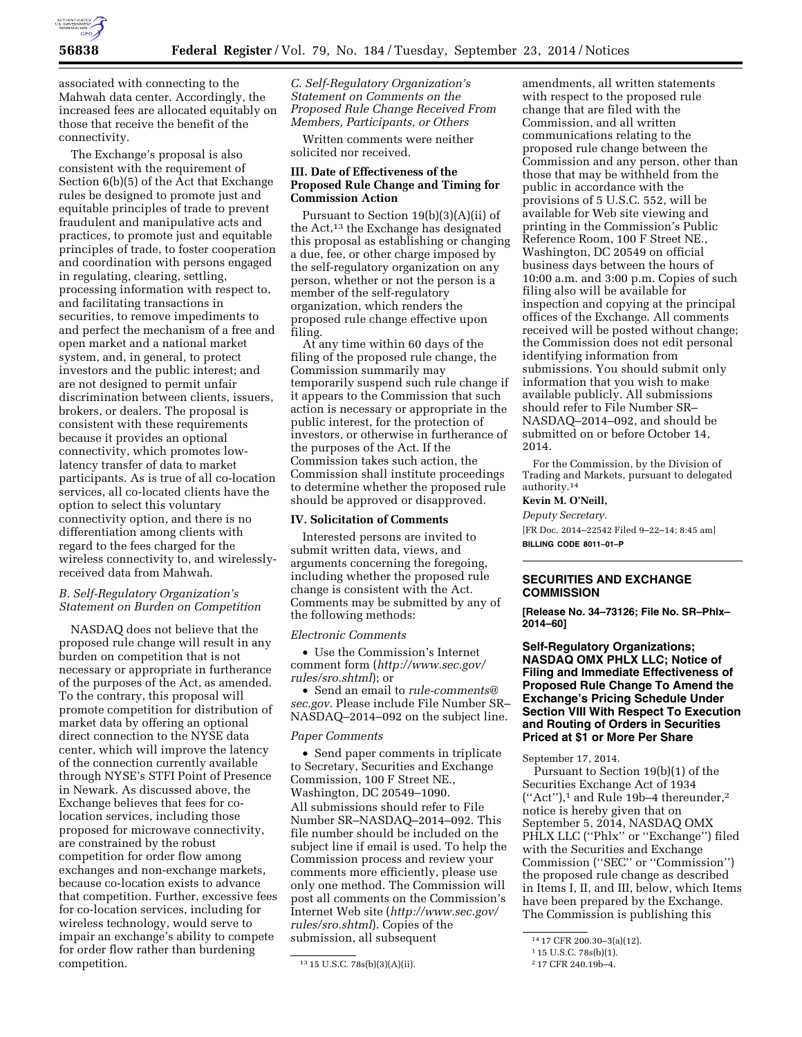

associated with connecting to the Mahwah data center. Accordingly, the increased fees are allocated equitably on those that receive the benefit of the connectivity.

The Exchange's proposal is also consistent with the requirement of Section 6(b)(5) of the Act that Exchange rules be designed to promote just and equitable principles of trade to prevent fraudulent and manipulative acts and practices, to promote just and equitable principles of trade, to foster cooperation and coordination with persons engaged in regulating, clearing, settling, processing information with respect to, and facilitating transactions in securities, to remove impediments to and perfect the mechanism of a free and open market and a national market system, and, in general, to protect investors and the public interest; and are not designed to permit unfair discrimination between clients, issuers, brokers, or dealers. The proposal is consistent with these requirements because it provides an optional connectivity, which promotes lowlatency transfer of data to market participants. As is true of all co-location services, all co-located clients have the option to select this voluntary connectivity option, and there is no differentiation among clients with regard to the fees charged for the wireless connectivity to, and wirelesslyreceived data from Mahwah.

## *B. Self-Regulatory Organization's Statement on Burden on Competition*

NASDAQ does not believe that the proposed rule change will result in any burden on competition that is not necessary or appropriate in furtherance of the purposes of the Act, as amended. To the contrary, this proposal will promote competition for distribution of market data by offering an optional direct connection to the NYSE data center, which will improve the latency of the connection currently available through NYSE's STFI Point of Presence in Newark. As discussed above, the Exchange believes that fees for colocation services, including those proposed for microwave connectivity, are constrained by the robust competition for order flow among exchanges and non-exchange markets, because co-location exists to advance that competition. Further, excessive fees for co-location services, including for wireless technology, would serve to impair an exchange's ability to compete for order flow rather than burdening competition.

*C. Self-Regulatory Organization's Statement on Comments on the Proposed Rule Change Received From Members, Participants, or Others* 

Written comments were neither solicited nor received.

## **III. Date of Effectiveness of the Proposed Rule Change and Timing for Commission Action**

Pursuant to Section 19(b)(3)(A)(ii) of the Act,13 the Exchange has designated this proposal as establishing or changing a due, fee, or other charge imposed by the self-regulatory organization on any person, whether or not the person is a member of the self-regulatory organization, which renders the proposed rule change effective upon filing.

At any time within 60 days of the filing of the proposed rule change, the Commission summarily may temporarily suspend such rule change if it appears to the Commission that such action is necessary or appropriate in the public interest, for the protection of investors, or otherwise in furtherance of the purposes of the Act. If the Commission takes such action, the Commission shall institute proceedings to determine whether the proposed rule should be approved or disapproved.

#### **IV. Solicitation of Comments**

Interested persons are invited to submit written data, views, and arguments concerning the foregoing, including whether the proposed rule change is consistent with the Act. Comments may be submitted by any of the following methods:

#### *Electronic Comments*

• Use the Commission's Internet comment form (*[http://www.sec.gov/](http://www.sec.gov/rules/sro.shtml) [rules/sro.shtml](http://www.sec.gov/rules/sro.shtml)*); or

• Send an email to *[rule-comments@](mailto:rule-comments@sec.gov) [sec.gov.](mailto:rule-comments@sec.gov)* Please include File Number SR– NASDAQ–2014–092 on the subject line.

#### *Paper Comments*

• Send paper comments in triplicate to Secretary, Securities and Exchange Commission, 100 F Street NE., Washington, DC 20549–1090. All submissions should refer to File Number SR–NASDAQ–2014–092. This file number should be included on the subject line if email is used. To help the Commission process and review your comments more efficiently, please use only one method. The Commission will post all comments on the Commission's Internet Web site (*[http://www.sec.gov/](http://www.sec.gov/rules/sro.shtml) [rules/sro.shtml](http://www.sec.gov/rules/sro.shtml)*). Copies of the submission, all subsequent

amendments, all written statements with respect to the proposed rule change that are filed with the Commission, and all written communications relating to the proposed rule change between the Commission and any person, other than those that may be withheld from the public in accordance with the provisions of 5 U.S.C. 552, will be available for Web site viewing and printing in the Commission's Public Reference Room, 100 F Street NE., Washington, DC 20549 on official business days between the hours of 10:00 a.m. and 3:00 p.m. Copies of such filing also will be available for inspection and copying at the principal offices of the Exchange. All comments received will be posted without change; the Commission does not edit personal identifying information from submissions. You should submit only information that you wish to make available publicly. All submissions should refer to File Number SR– NASDAQ–2014–092, and should be submitted on or before October 14, 2014.

For the Commission, by the Division of Trading and Markets, pursuant to delegated authority.14

#### **Kevin M. O'Neill,**

*Deputy Secretary.* 

[FR Doc. 2014–22542 Filed 9–22–14; 8:45 am] **BILLING CODE 8011–01–P** 

## **SECURITIES AND EXCHANGE COMMISSION**

**[Release No. 34–73126; File No. SR–Phlx– 2014–60]** 

## **Self-Regulatory Organizations; NASDAQ OMX PHLX LLC; Notice of Filing and Immediate Effectiveness of Proposed Rule Change To Amend the Exchange's Pricing Schedule Under Section VIII With Respect To Execution and Routing of Orders in Securities Priced at \$1 or More Per Share**

September 17, 2014.

Pursuant to Section 19(b)(1) of the Securities Exchange Act of 1934  $("Act")$ ,<sup>1</sup> and Rule 19b-4 thereunder,<sup>2</sup> notice is hereby given that on September 5, 2014, NASDAQ OMX PHLX LLC (''Phlx'' or ''Exchange'') filed with the Securities and Exchange Commission (''SEC'' or ''Commission'') the proposed rule change as described in Items I, II, and III, below, which Items have been prepared by the Exchange. The Commission is publishing this

<sup>13</sup> 15 U.S.C. 78s(b)(3)(A)(ii).

<sup>14</sup> 17 CFR 200.30–3(a)(12).

<sup>1</sup> 15 U.S.C. 78s(b)(1).

<sup>2</sup> 17 CFR 240.19b–4.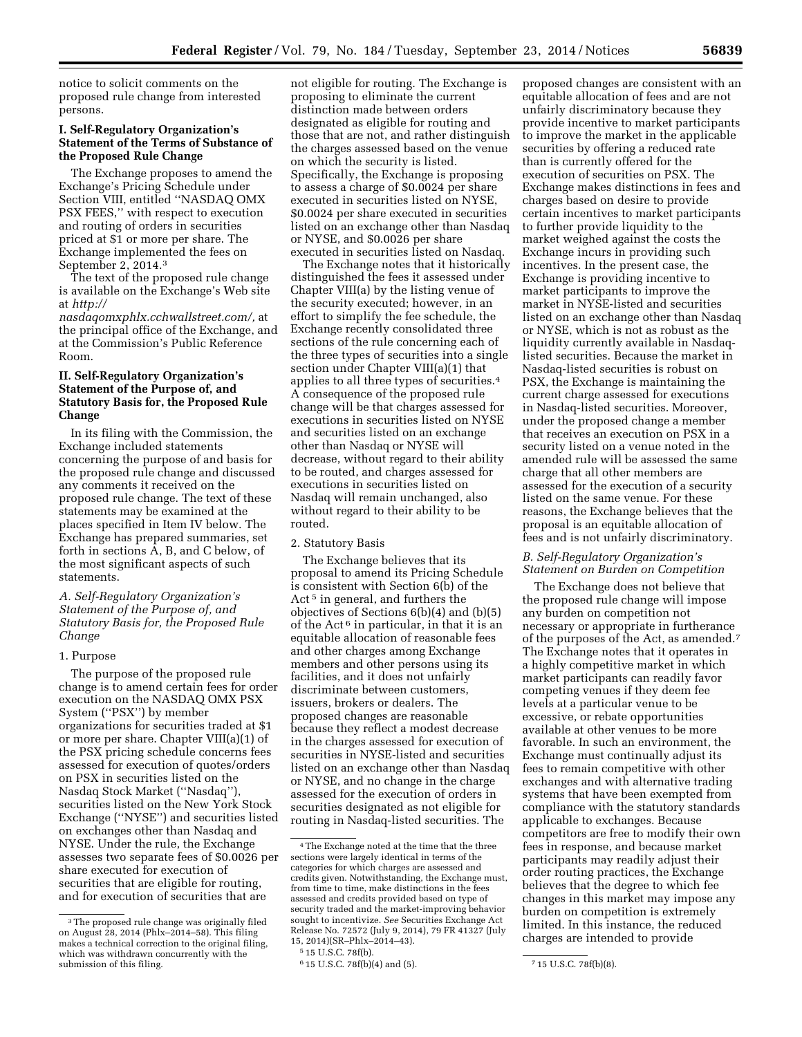notice to solicit comments on the proposed rule change from interested persons.

## **I. Self-Regulatory Organization's Statement of the Terms of Substance of the Proposed Rule Change**

The Exchange proposes to amend the Exchange's Pricing Schedule under Section VIII, entitled ''NASDAQ OMX PSX FEES,'' with respect to execution and routing of orders in securities priced at \$1 or more per share. The Exchange implemented the fees on September 2, 2014.3

The text of the proposed rule change is available on the Exchange's Web site at *[http://](http://nasdaqomxphlx.cchwallstreet.com/)*

*[nasdaqomxphlx.cchwallstreet.com/,](http://nasdaqomxphlx.cchwallstreet.com/)* at the principal office of the Exchange, and at the Commission's Public Reference Room.

## **II. Self-Regulatory Organization's Statement of the Purpose of, and Statutory Basis for, the Proposed Rule Change**

In its filing with the Commission, the Exchange included statements concerning the purpose of and basis for the proposed rule change and discussed any comments it received on the proposed rule change. The text of these statements may be examined at the places specified in Item IV below. The Exchange has prepared summaries, set forth in sections A, B, and C below, of the most significant aspects of such statements.

*A. Self-Regulatory Organization's Statement of the Purpose of, and Statutory Basis for, the Proposed Rule Change* 

#### 1. Purpose

The purpose of the proposed rule change is to amend certain fees for order execution on the NASDAQ OMX PSX System (''PSX'') by member organizations for securities traded at \$1 or more per share. Chapter VIII(a)(1) of the PSX pricing schedule concerns fees assessed for execution of quotes/orders on PSX in securities listed on the Nasdaq Stock Market (''Nasdaq''), securities listed on the New York Stock Exchange (''NYSE'') and securities listed on exchanges other than Nasdaq and NYSE. Under the rule, the Exchange assesses two separate fees of \$0.0026 per share executed for execution of securities that are eligible for routing, and for execution of securities that are

not eligible for routing. The Exchange is proposing to eliminate the current distinction made between orders designated as eligible for routing and those that are not, and rather distinguish the charges assessed based on the venue on which the security is listed. Specifically, the Exchange is proposing to assess a charge of \$0.0024 per share executed in securities listed on NYSE, \$0.0024 per share executed in securities listed on an exchange other than Nasdaq or NYSE, and \$0.0026 per share executed in securities listed on Nasdaq.

The Exchange notes that it historically distinguished the fees it assessed under Chapter VIII(a) by the listing venue of the security executed; however, in an effort to simplify the fee schedule, the Exchange recently consolidated three sections of the rule concerning each of the three types of securities into a single section under Chapter VIII(a)(1) that applies to all three types of securities.4 A consequence of the proposed rule change will be that charges assessed for executions in securities listed on NYSE and securities listed on an exchange other than Nasdaq or NYSE will decrease, without regard to their ability to be routed, and charges assessed for executions in securities listed on Nasdaq will remain unchanged, also without regard to their ability to be routed.

#### 2. Statutory Basis

The Exchange believes that its proposal to amend its Pricing Schedule is consistent with Section 6(b) of the Act<sup>5</sup> in general, and furthers the objectives of Sections 6(b)(4) and (b)(5) of the Act<sup> $6$ </sup> in particular, in that it is an equitable allocation of reasonable fees and other charges among Exchange members and other persons using its facilities, and it does not unfairly discriminate between customers, issuers, brokers or dealers. The proposed changes are reasonable because they reflect a modest decrease in the charges assessed for execution of securities in NYSE-listed and securities listed on an exchange other than Nasdaq or NYSE, and no change in the charge assessed for the execution of orders in securities designated as not eligible for routing in Nasdaq-listed securities. The

proposed changes are consistent with an equitable allocation of fees and are not unfairly discriminatory because they provide incentive to market participants to improve the market in the applicable securities by offering a reduced rate than is currently offered for the execution of securities on PSX. The Exchange makes distinctions in fees and charges based on desire to provide certain incentives to market participants to further provide liquidity to the market weighed against the costs the Exchange incurs in providing such incentives. In the present case, the Exchange is providing incentive to market participants to improve the market in NYSE-listed and securities listed on an exchange other than Nasdaq or NYSE, which is not as robust as the liquidity currently available in Nasdaqlisted securities. Because the market in Nasdaq-listed securities is robust on PSX, the Exchange is maintaining the current charge assessed for executions in Nasdaq-listed securities. Moreover, under the proposed change a member that receives an execution on PSX in a security listed on a venue noted in the amended rule will be assessed the same charge that all other members are assessed for the execution of a security listed on the same venue. For these reasons, the Exchange believes that the proposal is an equitable allocation of fees and is not unfairly discriminatory.

## *B. Self-Regulatory Organization's Statement on Burden on Competition*

The Exchange does not believe that the proposed rule change will impose any burden on competition not necessary or appropriate in furtherance of the purposes of the Act, as amended.7 The Exchange notes that it operates in a highly competitive market in which market participants can readily favor competing venues if they deem fee levels at a particular venue to be excessive, or rebate opportunities available at other venues to be more favorable. In such an environment, the Exchange must continually adjust its fees to remain competitive with other exchanges and with alternative trading systems that have been exempted from compliance with the statutory standards applicable to exchanges. Because competitors are free to modify their own fees in response, and because market participants may readily adjust their order routing practices, the Exchange believes that the degree to which fee changes in this market may impose any burden on competition is extremely limited. In this instance, the reduced charges are intended to provide

<sup>&</sup>lt;sup>3</sup>The proposed rule change was originally filed on August 28, 2014 (Phlx–2014–58). This filing makes a technical correction to the original filing, which was withdrawn concurrently with the submission of this filing.

<sup>4</sup>The Exchange noted at the time that the three sections were largely identical in terms of the categories for which charges are assessed and credits given. Notwithstanding, the Exchange must, from time to time, make distinctions in the fees assessed and credits provided based on type of security traded and the market-improving behavior sought to incentivize. *See* Securities Exchange Act Release No. 72572 (July 9, 2014), 79 FR 41327 (July 15, 2014)(SR–Phlx–2014–43).

<sup>5</sup> 15 U.S.C. 78f(b).

<sup>6</sup> 15 U.S.C. 78f(b)(4) and (5). 7 15 U.S.C. 78f(b)(8).